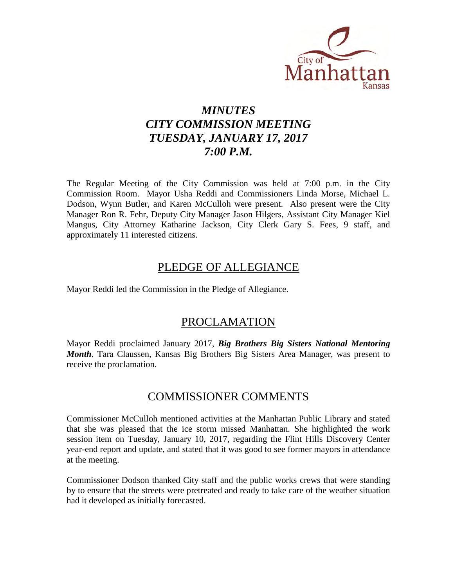

# *MINUTES CITY COMMISSION MEETING TUESDAY, JANUARY 17, 2017 7:00 P.M.*

The Regular Meeting of the City Commission was held at 7:00 p.m. in the City Commission Room. Mayor Usha Reddi and Commissioners Linda Morse, Michael L. Dodson, Wynn Butler, and Karen McCulloh were present. Also present were the City Manager Ron R. Fehr, Deputy City Manager Jason Hilgers, Assistant City Manager Kiel Mangus, City Attorney Katharine Jackson, City Clerk Gary S. Fees, 9 staff, and approximately 11 interested citizens.

# PLEDGE OF ALLEGIANCE

Mayor Reddi led the Commission in the Pledge of Allegiance.

# PROCLAMATION

Mayor Reddi proclaimed January 2017, *Big Brothers Big Sisters National Mentoring Month*. Tara Claussen, Kansas Big Brothers Big Sisters Area Manager, was present to receive the proclamation.

# COMMISSIONER COMMENTS

Commissioner McCulloh mentioned activities at the Manhattan Public Library and stated that she was pleased that the ice storm missed Manhattan. She highlighted the work session item on Tuesday, January 10, 2017, regarding the Flint Hills Discovery Center year-end report and update, and stated that it was good to see former mayors in attendance at the meeting.

Commissioner Dodson thanked City staff and the public works crews that were standing by to ensure that the streets were pretreated and ready to take care of the weather situation had it developed as initially forecasted.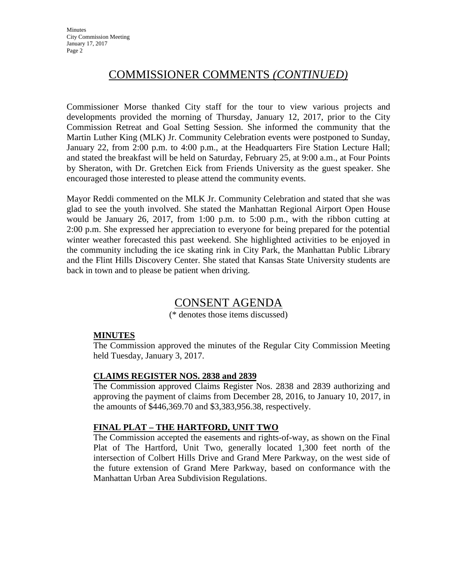**Minutes** City Commission Meeting January 17, 2017 Page 2

# COMMISSIONER COMMENTS *(CONTINUED)*

Commissioner Morse thanked City staff for the tour to view various projects and developments provided the morning of Thursday, January 12, 2017, prior to the City Commission Retreat and Goal Setting Session. She informed the community that the Martin Luther King (MLK) Jr. Community Celebration events were postponed to Sunday, January 22, from 2:00 p.m. to 4:00 p.m., at the Headquarters Fire Station Lecture Hall; and stated the breakfast will be held on Saturday, February 25, at 9:00 a.m., at Four Points by Sheraton, with Dr. Gretchen Eick from Friends University as the guest speaker. She encouraged those interested to please attend the community events.

Mayor Reddi commented on the MLK Jr. Community Celebration and stated that she was glad to see the youth involved. She stated the Manhattan Regional Airport Open House would be January 26, 2017, from 1:00 p.m. to 5:00 p.m., with the ribbon cutting at 2:00 p.m. She expressed her appreciation to everyone for being prepared for the potential winter weather forecasted this past weekend. She highlighted activities to be enjoyed in the community including the ice skating rink in City Park, the Manhattan Public Library and the Flint Hills Discovery Center. She stated that Kansas State University students are back in town and to please be patient when driving.

# CONSENT AGENDA

(\* denotes those items discussed)

# **MINUTES**

The Commission approved the minutes of the Regular City Commission Meeting held Tuesday, January 3, 2017.

# **CLAIMS REGISTER NOS. 2838 and 2839**

The Commission approved Claims Register Nos. 2838 and 2839 authorizing and approving the payment of claims from December 28, 2016, to January 10, 2017, in the amounts of \$446,369.70 and \$3,383,956.38, respectively.

# **FINAL PLAT – THE HARTFORD, UNIT TWO**

The Commission accepted the easements and rights-of-way, as shown on the Final Plat of The Hartford, Unit Two, generally located 1,300 feet north of the intersection of Colbert Hills Drive and Grand Mere Parkway, on the west side of the future extension of Grand Mere Parkway, based on conformance with the Manhattan Urban Area Subdivision Regulations.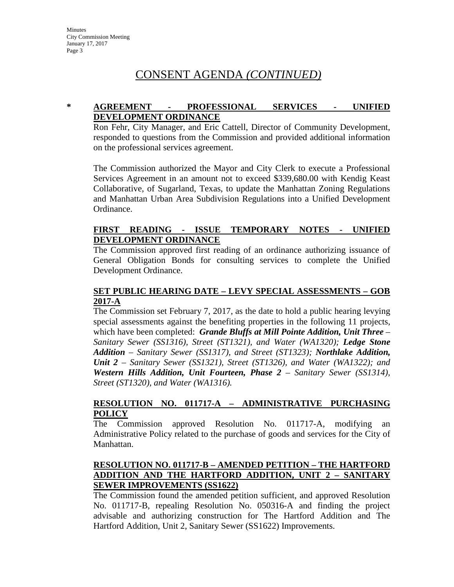#### **\* AGREEMENT - PROFESSIONAL SERVICES - UNIFIED DEVELOPMENT ORDINANCE**

Ron Fehr, City Manager, and Eric Cattell, Director of Community Development, responded to questions from the Commission and provided additional information on the professional services agreement.

The Commission authorized the Mayor and City Clerk to execute a Professional Services Agreement in an amount not to exceed \$339,680.00 with Kendig Keast Collaborative, of Sugarland, Texas, to update the Manhattan Zoning Regulations and Manhattan Urban Area Subdivision Regulations into a Unified Development Ordinance.

### **FIRST READING - ISSUE TEMPORARY NOTES - UNIFIED DEVELOPMENT ORDINANCE**

The Commission approved first reading of an ordinance authorizing issuance of General Obligation Bonds for consulting services to complete the Unified Development Ordinance.

#### **SET PUBLIC HEARING DATE – LEVY SPECIAL ASSESSMENTS – GOB 2017-A**

The Commission set February 7, 2017, as the date to hold a public hearing levying special assessments against the benefiting properties in the following 11 projects, which have been completed: *Grande Bluffs at Mill Pointe Addition, Unit Three – Sanitary Sewer (SS1316), Street (ST1321), and Water (WA1320); Ledge Stone Addition – Sanitary Sewer (SS1317), and Street (ST1323); Northlake Addition, Unit 2 – Sanitary Sewer (SS1321), Street (ST1326), and Water (WA1322); and Western Hills Addition, Unit Fourteen, Phase 2 – Sanitary Sewer (SS1314), Street (ST1320), and Water (WA1316).*

#### **RESOLUTION NO. 011717-A – ADMINISTRATIVE PURCHASING POLICY**

The Commission approved Resolution No. 011717-A, modifying an Administrative Policy related to the purchase of goods and services for the City of Manhattan.

# **RESOLUTION NO. 011717-B – AMENDED PETITION – THE HARTFORD ADDITION AND THE HARTFORD ADDITION, UNIT 2 – SANITARY SEWER IMPROVEMENTS (SS1622)**

The Commission found the amended petition sufficient, and approved Resolution No. 011717-B, repealing Resolution No. 050316-A and finding the project advisable and authorizing construction for The Hartford Addition and The Hartford Addition, Unit 2, Sanitary Sewer (SS1622) Improvements.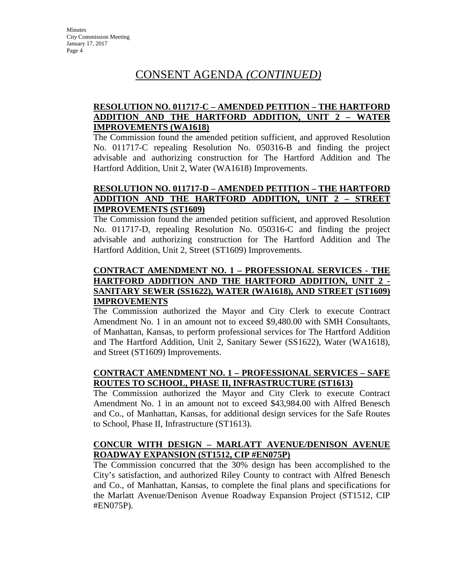### **RESOLUTION NO. 011717-C – AMENDED PETITION – THE HARTFORD ADDITION AND THE HARTFORD ADDITION, UNIT 2 – WATER IMPROVEMENTS (WA1618)**

The Commission found the amended petition sufficient, and approved Resolution No. 011717-C repealing Resolution No. 050316-B and finding the project advisable and authorizing construction for The Hartford Addition and The Hartford Addition, Unit 2, Water (WA1618) Improvements.

# **RESOLUTION NO. 011717-D – AMENDED PETITION – THE HARTFORD ADDITION AND THE HARTFORD ADDITION, UNIT 2 – STREET IMPROVEMENTS (ST1609)**

The Commission found the amended petition sufficient, and approved Resolution No. 011717-D, repealing Resolution No. 050316-C and finding the project advisable and authorizing construction for The Hartford Addition and The Hartford Addition, Unit 2, Street (ST1609) Improvements.

# **CONTRACT AMENDMENT NO. 1 – PROFESSIONAL SERVICES - THE HARTFORD ADDITION AND THE HARTFORD ADDITION, UNIT 2 - SANITARY SEWER (SS1622), WATER (WA1618), AND STREET (ST1609) IMPROVEMENTS**

The Commission authorized the Mayor and City Clerk to execute Contract Amendment No. 1 in an amount not to exceed \$9,480.00 with SMH Consultants, of Manhattan, Kansas, to perform professional services for The Hartford Addition and The Hartford Addition, Unit 2, Sanitary Sewer (SS1622), Water (WA1618), and Street (ST1609) Improvements.

# **CONTRACT AMENDMENT NO. 1 – PROFESSIONAL SERVICES – SAFE ROUTES TO SCHOOL, PHASE II, INFRASTRUCTURE (ST1613)**

The Commission authorized the Mayor and City Clerk to execute Contract Amendment No. 1 in an amount not to exceed \$43,984.00 with Alfred Benesch and Co., of Manhattan, Kansas, for additional design services for the Safe Routes to School, Phase II, Infrastructure (ST1613).

# **CONCUR WITH DESIGN – MARLATT AVENUE/DENISON AVENUE ROADWAY EXPANSION (ST1512, CIP #EN075P)**

The Commission concurred that the 30% design has been accomplished to the City's satisfaction, and authorized Riley County to contract with Alfred Benesch and Co., of Manhattan, Kansas, to complete the final plans and specifications for the Marlatt Avenue/Denison Avenue Roadway Expansion Project (ST1512, CIP #EN075P).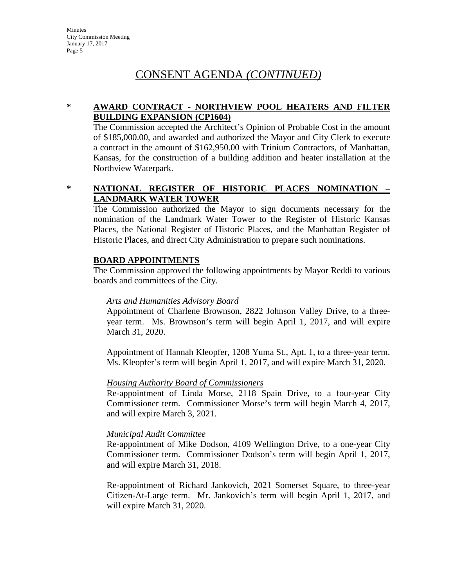### **\* AWARD CONTRACT - NORTHVIEW POOL HEATERS AND FILTER BUILDING EXPANSION (CP1604)**

The Commission accepted the Architect's Opinion of Probable Cost in the amount of \$185,000.00, and awarded and authorized the Mayor and City Clerk to execute a contract in the amount of \$162,950.00 with Trinium Contractors, of Manhattan, Kansas, for the construction of a building addition and heater installation at the Northview Waterpark.

# **\* NATIONAL REGISTER OF HISTORIC PLACES NOMINATION – LANDMARK WATER TOWER**

The Commission authorized the Mayor to sign documents necessary for the nomination of the Landmark Water Tower to the Register of Historic Kansas Places, the National Register of Historic Places, and the Manhattan Register of Historic Places, and direct City Administration to prepare such nominations.

#### **BOARD APPOINTMENTS**

The Commission approved the following appointments by Mayor Reddi to various boards and committees of the City.

# *Arts and Humanities Advisory Board*

Appointment of Charlene Brownson, 2822 Johnson Valley Drive, to a threeyear term. Ms. Brownson's term will begin April 1, 2017, and will expire March 31, 2020.

Appointment of Hannah Kleopfer, 1208 Yuma St., Apt. 1, to a three-year term. Ms. Kleopfer's term will begin April 1, 2017, and will expire March 31, 2020.

# *Housing Authority Board of Commissioners*

Re-appointment of Linda Morse, 2118 Spain Drive, to a four-year City Commissioner term. Commissioner Morse's term will begin March 4, 2017, and will expire March 3, 2021.

#### *Municipal Audit Committee*

Re-appointment of Mike Dodson, 4109 Wellington Drive, to a one-year City Commissioner term. Commissioner Dodson's term will begin April 1, 2017, and will expire March 31, 2018.

Re-appointment of Richard Jankovich, 2021 Somerset Square, to three-year Citizen-At-Large term. Mr. Jankovich's term will begin April 1, 2017, and will expire March 31, 2020.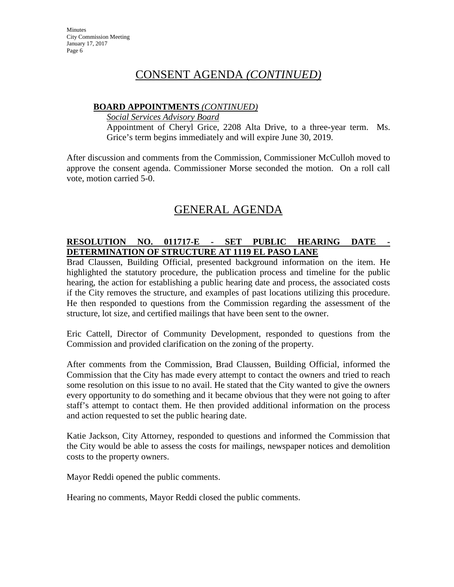### **BOARD APPOINTMENTS** *(CONTINUED)*

*Social Services Advisory Board*

Appointment of Cheryl Grice, 2208 Alta Drive, to a three-year term. Ms. Grice's term begins immediately and will expire June 30, 2019.

After discussion and comments from the Commission, Commissioner McCulloh moved to approve the consent agenda. Commissioner Morse seconded the motion. On a roll call vote, motion carried 5-0.

# GENERAL AGENDA

# **RESOLUTION NO. 011717-E - SET PUBLIC HEARING DATE - DETERMINATION OF STRUCTURE AT 1119 EL PASO LANE**

Brad Claussen, Building Official, presented background information on the item. He highlighted the statutory procedure, the publication process and timeline for the public hearing, the action for establishing a public hearing date and process, the associated costs if the City removes the structure, and examples of past locations utilizing this procedure. He then responded to questions from the Commission regarding the assessment of the structure, lot size, and certified mailings that have been sent to the owner.

Eric Cattell, Director of Community Development, responded to questions from the Commission and provided clarification on the zoning of the property.

After comments from the Commission, Brad Claussen, Building Official, informed the Commission that the City has made every attempt to contact the owners and tried to reach some resolution on this issue to no avail. He stated that the City wanted to give the owners every opportunity to do something and it became obvious that they were not going to after staff's attempt to contact them. He then provided additional information on the process and action requested to set the public hearing date.

Katie Jackson, City Attorney, responded to questions and informed the Commission that the City would be able to assess the costs for mailings, newspaper notices and demolition costs to the property owners.

Mayor Reddi opened the public comments.

Hearing no comments, Mayor Reddi closed the public comments.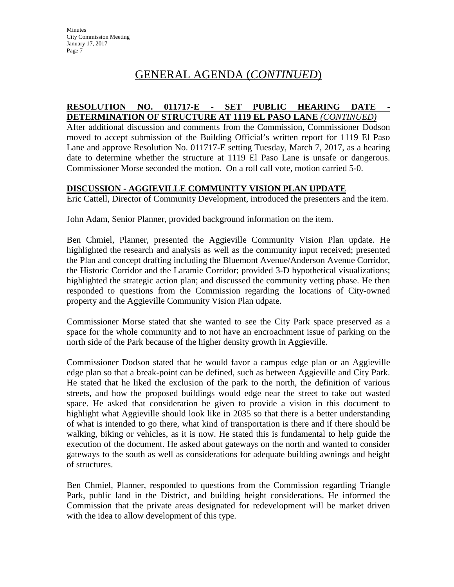# GENERAL AGENDA (*CONTINUED*)

#### **RESOLUTION NO. 011717-E - SET PUBLIC HEARING DATE - DETERMINATION OF STRUCTURE AT 1119 EL PASO LANE** *(CONTINUED)*

After additional discussion and comments from the Commission, Commissioner Dodson moved to accept submission of the Building Official's written report for 1119 El Paso Lane and approve Resolution No. 011717-E setting Tuesday, March 7, 2017, as a hearing date to determine whether the structure at 1119 El Paso Lane is unsafe or dangerous. Commissioner Morse seconded the motion. On a roll call vote, motion carried 5-0.

#### **DISCUSSION - AGGIEVILLE COMMUNITY VISION PLAN UPDATE**

Eric Cattell, Director of Community Development, introduced the presenters and the item.

John Adam, Senior Planner, provided background information on the item.

Ben Chmiel, Planner, presented the Aggieville Community Vision Plan update. He highlighted the research and analysis as well as the community input received; presented the Plan and concept drafting including the Bluemont Avenue/Anderson Avenue Corridor, the Historic Corridor and the Laramie Corridor; provided 3-D hypothetical visualizations; highlighted the strategic action plan; and discussed the community vetting phase. He then responded to questions from the Commission regarding the locations of City-owned property and the Aggieville Community Vision Plan udpate.

Commissioner Morse stated that she wanted to see the City Park space preserved as a space for the whole community and to not have an encroachment issue of parking on the north side of the Park because of the higher density growth in Aggieville.

Commissioner Dodson stated that he would favor a campus edge plan or an Aggieville edge plan so that a break-point can be defined, such as between Aggieville and City Park. He stated that he liked the exclusion of the park to the north, the definition of various streets, and how the proposed buildings would edge near the street to take out wasted space. He asked that consideration be given to provide a vision in this document to highlight what Aggieville should look like in 2035 so that there is a better understanding of what is intended to go there, what kind of transportation is there and if there should be walking, biking or vehicles, as it is now. He stated this is fundamental to help guide the execution of the document. He asked about gateways on the north and wanted to consider gateways to the south as well as considerations for adequate building awnings and height of structures.

Ben Chmiel, Planner, responded to questions from the Commission regarding Triangle Park, public land in the District, and building height considerations. He informed the Commission that the private areas designated for redevelopment will be market driven with the idea to allow development of this type.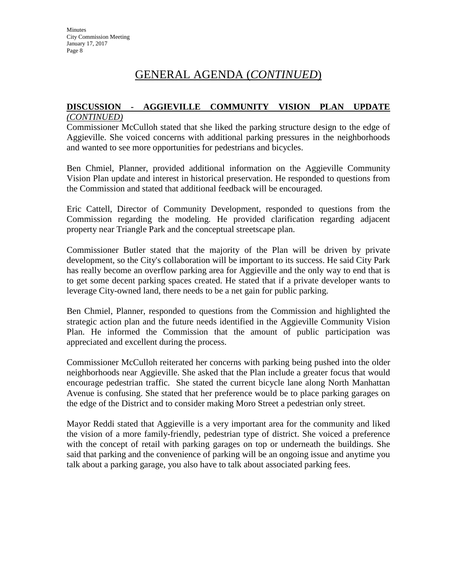# GENERAL AGENDA (*CONTINUED*)

#### **DISCUSSION - AGGIEVILLE COMMUNITY VISION PLAN UPDATE** *(CONTINUED)*

Commissioner McCulloh stated that she liked the parking structure design to the edge of Aggieville. She voiced concerns with additional parking pressures in the neighborhoods and wanted to see more opportunities for pedestrians and bicycles.

Ben Chmiel, Planner, provided additional information on the Aggieville Community Vision Plan update and interest in historical preservation. He responded to questions from the Commission and stated that additional feedback will be encouraged.

Eric Cattell, Director of Community Development, responded to questions from the Commission regarding the modeling. He provided clarification regarding adjacent property near Triangle Park and the conceptual streetscape plan.

Commissioner Butler stated that the majority of the Plan will be driven by private development, so the City's collaboration will be important to its success. He said City Park has really become an overflow parking area for Aggieville and the only way to end that is to get some decent parking spaces created. He stated that if a private developer wants to leverage City-owned land, there needs to be a net gain for public parking.

Ben Chmiel, Planner, responded to questions from the Commission and highlighted the strategic action plan and the future needs identified in the Aggieville Community Vision Plan. He informed the Commission that the amount of public participation was appreciated and excellent during the process.

Commissioner McCulloh reiterated her concerns with parking being pushed into the older neighborhoods near Aggieville. She asked that the Plan include a greater focus that would encourage pedestrian traffic. She stated the current bicycle lane along North Manhattan Avenue is confusing. She stated that her preference would be to place parking garages on the edge of the District and to consider making Moro Street a pedestrian only street.

Mayor Reddi stated that Aggieville is a very important area for the community and liked the vision of a more family-friendly, pedestrian type of district. She voiced a preference with the concept of retail with parking garages on top or underneath the buildings. She said that parking and the convenience of parking will be an ongoing issue and anytime you talk about a parking garage, you also have to talk about associated parking fees.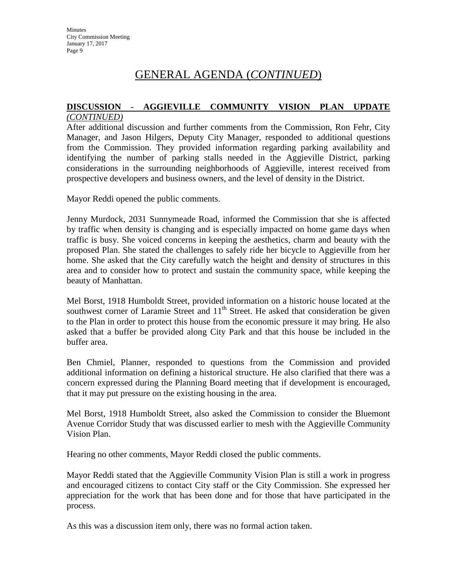# GENERAL AGENDA (*CONTINUED*)

#### **DISCUSSION - AGGIEVILLE COMMUNITY VISION PLAN UPDATE** *(CONTINUED)*

After additional discussion and further comments from the Commission, Ron Fehr, City Manager, and Jason Hilgers, Deputy City Manager, responded to additional questions from the Commission. They provided information regarding parking availability and identifying the number of parking stalls needed in the Aggieville District, parking considerations in the surrounding neighborhoods of Aggieville, interest received from prospective developers and business owners, and the level of density in the District.

Mayor Reddi opened the public comments.

Jenny Murdock, 2031 Sunnymeade Road, informed the Commission that she is affected by traffic when density is changing and is especially impacted on home game days when traffic is busy. She voiced concerns in keeping the aesthetics, charm and beauty with the proposed Plan. She stated the challenges to safely ride her bicycle to Aggieville from her home. She asked that the City carefully watch the height and density of structures in this area and to consider how to protect and sustain the community space, while keeping the beauty of Manhattan.

Mel Borst, 1918 Humboldt Street, provided information on a historic house located at the southwest corner of Laramie Street and  $11<sup>th</sup>$  Street. He asked that consideration be given to the Plan in order to protect this house from the economic pressure it may bring. He also asked that a buffer be provided along City Park and that this house be included in the buffer area.

Ben Chmiel, Planner, responded to questions from the Commission and provided additional information on defining a historical structure. He also clarified that there was a concern expressed during the Planning Board meeting that if development is encouraged, that it may put pressure on the existing housing in the area.

Mel Borst, 1918 Humboldt Street, also asked the Commission to consider the Bluemont Avenue Corridor Study that was discussed earlier to mesh with the Aggieville Community Vision Plan.

Hearing no other comments, Mayor Reddi closed the public comments.

Mayor Reddi stated that the Aggieville Community Vision Plan is still a work in progress and encouraged citizens to contact City staff or the City Commission. She expressed her appreciation for the work that has been done and for those that have participated in the process.

As this was a discussion item only, there was no formal action taken.